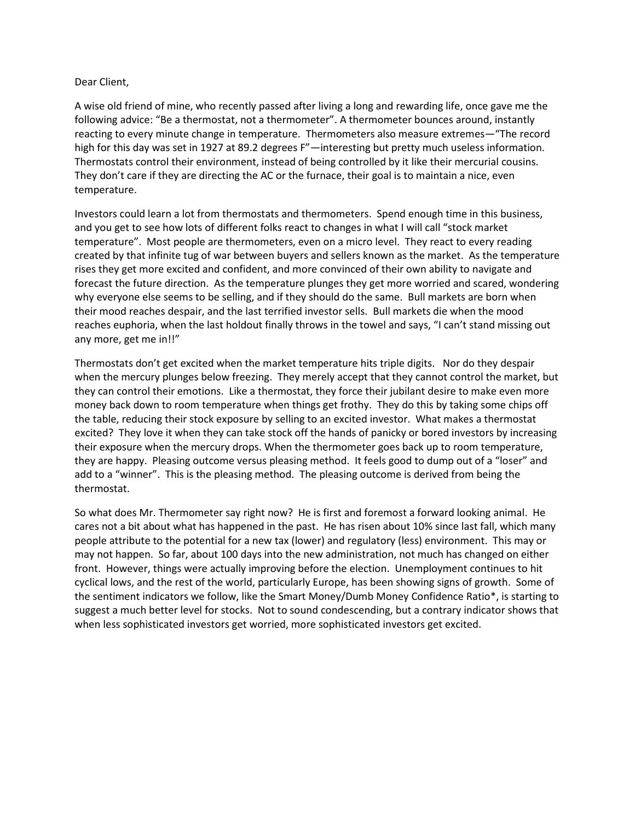## Dear Client,

A wise old friend of mine, who recently passed after living a long and rewarding life, once gave me the following advice: "Be a thermostat, not a thermometer". A thermometer bounces around, instantly reacting to every minute change in temperature. Thermometers also measure extremes—"The record high for this day was set in 1927 at 89.2 degrees F"—interesting but pretty much useless information. Thermostats control their environment, instead of being controlled by it like their mercurial cousins. They don't care if they are directing the AC or the furnace, their goal is to maintain a nice, even temperature.

Investors could learn a lot from thermostats and thermometers. Spend enough time in this business, and you get to see how lots of different folks react to changes in what I will call "stock market temperature". Most people are thermometers, even on a micro level. They react to every reading created by that infinite tug of war between buyers and sellers known as the market. As the temperature rises they get more excited and confident, and more convinced of their own ability to navigate and forecast the future direction. As the temperature plunges they get more worried and scared, wondering why everyone else seems to be selling, and if they should do the same. Bull markets are born when their mood reaches despair, and the last terrified investor sells. Bull markets die when the mood reaches euphoria, when the last holdout finally throws in the towel and says, "I can't stand missing out any more, get me in!!"

Thermostats don't get excited when the market temperature hits triple digits. Nor do they despair when the mercury plunges below freezing. They merely accept that they cannot control the market, but they can control their emotions. Like a thermostat, they force their jubilant desire to make even more money back down to room temperature when things get frothy. They do this by taking some chips off the table, reducing their stock exposure by selling to an excited investor. What makes a thermostat excited? They love it when they can take stock off the hands of panicky or bored investors by increasing their exposure when the mercury drops. When the thermometer goes back up to room temperature, they are happy. Pleasing outcome versus pleasing method. It feels good to dump out of a "loser" and add to a "winner". This is the pleasing method. The pleasing outcome is derived from being the thermostat.

So what does Mr. Thermometer say right now? He is first and foremost a forward looking animal. He cares not a bit about what has happened in the past. He has risen about 10% since last fall, which many people attribute to the potential for a new tax (lower) and regulatory (less) environment. This may or may not happen. So far, about 100 days into the new administration, not much has changed on either front. However, things were actually improving before the election. Unemployment continues to hit cyclical lows, and the rest of the world, particularly Europe, has been showing signs of growth. Some of the sentiment indicators we follow, like the Smart Money/Dumb Money Confidence Ratio\*, is starting to suggest a much better level for stocks. Not to sound condescending, but a contrary indicator shows that when less sophisticated investors get worried, more sophisticated investors get excited.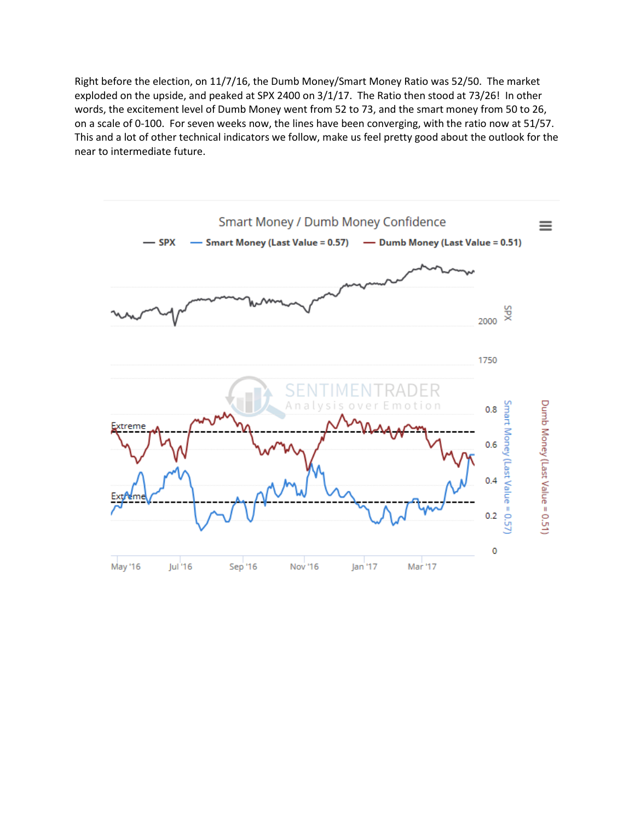Right before the election, on 11/7/16, the Dumb Money/Smart Money Ratio was 52/50. The market exploded on the upside, and peaked at SPX 2400 on 3/1/17. The Ratio then stood at 73/26! In other words, the excitement level of Dumb Money went from 52 to 73, and the smart money from 50 to 26, on a scale of 0-100. For seven weeks now, the lines have been converging, with the ratio now at 51/57. This and a lot of other technical indicators we follow, make us feel pretty good about the outlook for the near to intermediate future.